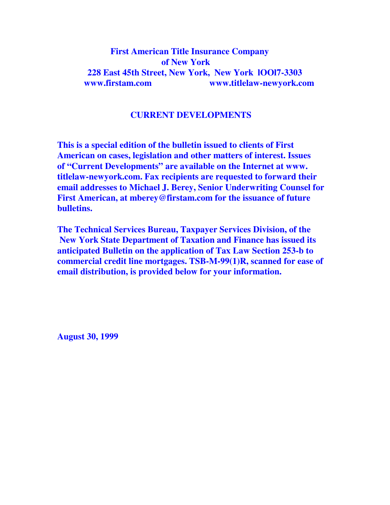## **First American Title Insurance Company of New York 228 East 45th Street, New York, New York lOOl7-3303 www.firstam.com www.titlelaw-newyork.com**

## **CURRENT DEVELOPMENTS**

**This is a special edition of the bulletin issued to clients of First American on cases, legislation and other matters of interest. Issues of "Current Developments" are available on the Internet at www. titlelaw-newyork.com. Fax recipients are requested to forward their email addresses to Michael J. Berey, Senior Underwriting Counsel for First American, at mberey@firstam.com for the issuance of future bulletins.** 

**The Technical Services Bureau, Taxpayer Services Division, of the New York State Department of Taxation and Finance has issued its anticipated Bulletin on the application of Tax Law Section 253-b to commercial credit line mortgages. TSB-M-99(1)R, scanned for ease of email distribution, is provided below for your information.**

**August 30, 1999**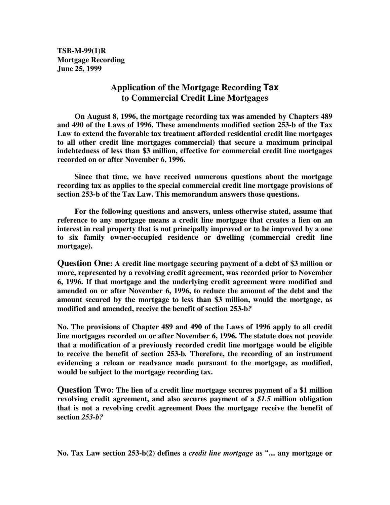**TSB-M-99(1)R Mortgage Recording June 25, 1999**

## **Application of the Mortgage Recording Tax to Commercial Credit Line Mortgages**

**On August 8, 1996, the mortgage recording tax was amended by Chapters 489 and 490 of the Laws of 1996. These amendments modified section 253-b of the Tax Law to extend the favorable tax treatment afforded residential credit line mortgages to all other credit line mortgages commercial) that secure a maximum principal indebtedness of less than \$3 million, effective for commercial credit line mortgages recorded on or after November 6, 1996.** 

**Since that time, we have received numerous questions about the mortgage recording tax as applies to the special commercial credit line mortgage provisions of section 253-b of the Tax Law. This memorandum answers those questions.** 

**For the following questions and answers, unless otherwise stated, assume that reference to any mortgage means a credit line mortgage that creates a lien on an interest in real property that is not principally improved or to be improved by a one to six family owner-occupied residence or dwelling (commercial credit line mortgage).** 

**Question One: A credit line mortgage securing payment of a debt of \$3 million or more, represented by a revolving credit agreement, was recorded prior to November 6, 1996. If that mortgage and the underlying credit agreement were modified and amended on or after November 6, 1996, to reduce the amount of the debt and the amount secured by the mortgage to less than \$3 million, would the mortgage, as modified and amended, receive the benefit of section 253-b***?* 

**No. The provisions of Chapter 489 and 490 of the Laws of 1996 apply to all credit line mortgages recorded on or after November 6, 1996. The statute does not provide that a modification of a previously recorded credit line mortgage would be eligible to receive the benefit of section 253-b***.* **Therefore, the recording of an instrument evidencing a reloan or readvance made pursuant to the mortgage, as modified, would be subject to the mortgage recording tax.** 

**Question Two: The lien of a credit line mortgage secures payment of a \$1 million revolving credit agreement, and also secures payment of a** *\$1.5* **million obligation that is not a revolving credit agreement Does the mortgage receive the benefit of section** *253-b?* 

**No. Tax Law section 253-b(2) defines a** *credit line mortgage* **as "... any mortgage or**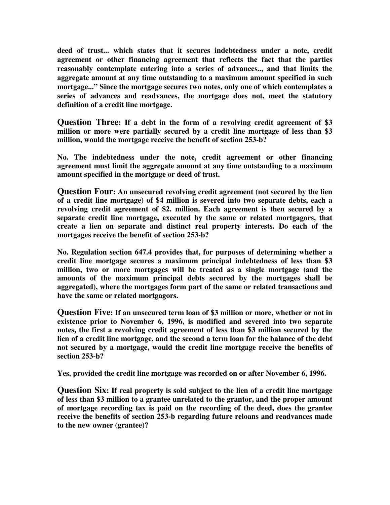**deed of trust... which states that it secures indebtedness under a note, credit agreement or other financing agreement that reflects the fact that the parties reasonably contemplate entering into a series of advances.., and that limits the aggregate amount at any time outstanding to a maximum amount specified in such mortgage..." Since the mortgage secures two notes, only one of which contemplates a series of advances and readvances, the mortgage does not, meet the statutory definition of a credit line mortgage.** 

**Question Three: If a debt in the form of a revolving credit agreement of \$3 million or more were partially secured by a credit line mortgage of less than \$3 million, would the mortgage receive the benefit of section 253-b?** 

**No. The indebtedness under the note, credit agreement or other financing agreement must limit the aggregate amount at any time outstanding to a maximum amount specified in the mortgage or deed of trust.** 

**Question Four: An unsecured revolving credit agreement (not secured by the lien of a credit line mortgage) of \$4 million is severed into two separate debts, each a revolving credit agreement of \$2. million. Each agreement is then secured by a separate credit line mortgage, executed by the same or related mortgagors, that create a lien on separate and distinct real property interests. Do each of the mortgages receive the benefit of section 253-b?** 

**No. Regulation section 647.4 provides that, for purposes of determining whether a credit line mortgage secures a maximum principal indebtedness of less than \$3 million, two or more mortgages will be treated as a single mortgage (and the amounts of the maximum principal debts secured by the mortgages shall be aggregated), where the mortgages form part of the same or related transactions and have the same or related mortgagors.** 

**Question Five: If an unsecured term loan of \$3 million or more, whether or not in existence prior to November 6, 1996, is modified and severed into two separate notes, the first a revolving credit agreement of less than \$3 million secured by the lien of a credit line mortgage, and the second a term loan for the balance of the debt not secured by a mortgage, would the credit line mortgage receive the benefits of section 253-b?** 

**Yes, provided the credit line mortgage was recorded on or after November 6, 1996.** 

**Question Six: If real property is sold subject to the lien of a credit line mortgage of less than \$3 million to a grantee unrelated to the grantor, and the proper amount of mortgage recording tax is paid on the recording of the deed, does the grantee receive the benefits of section 253-b regarding future reloans and readvances made to the new owner (grantee)?**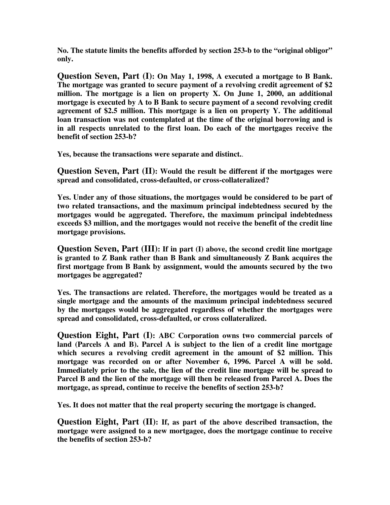**No. The statute limits the benefits afforded by section 253-b to the "original obligor" only.** 

**Question Seven, Part (I): On May 1, 1998, A executed a mortgage to B Bank. The mortgage was granted to secure payment of a revolving credit agreement of \$2 million. The mortgage is a lien on property X. On June 1, 2000, an additional mortgage is executed by A to B Bank to secure payment of a second revolving credit agreement of \$2.5 million. This mortgage is a lien on property Y. The additional loan transaction was not contemplated at the time of the original borrowing and is in all respects unrelated to the first loan. Do each of the mortgages receive the benefit of section 253-b?** 

**Yes, because the transactions were separate and distinct.**.

**Question Seven, Part (II): Would the result be different if the mortgages were spread and consolidated, cross-defaulted, or cross-collateralized?** 

**Yes. Under any of those situations, the mortgages would be considered to be part of two related transactions, and the maximum principal indebtedness secured by the mortgages would be aggregated. Therefore, the maximum principal indebtedness exceeds \$3 million, and the mortgages would not receive the benefit of the credit line mortgage provisions.** 

**Question Seven, Part (III): If in part (I) above, the second credit line mortgage is granted to Z Bank rather than B Bank and simultaneously Z Bank acquires the first mortgage from B Bank by assignment, would the amounts secured by the two mortgages be aggregated?** 

**Yes. The transactions are related. Therefore, the mortgages would be treated as a single mortgage and the amounts of the maximum principal indebtedness secured by the mortgages would be aggregated regardless of whether the mortgages were spread and consolidated, cross-defaulted, or cross collateralized.** 

**Question Eight, Part (I): ABC Corporation owns two commercial parcels of land (Parcels A and B). Parcel A is subject to the lien of a credit line mortgage which secures a revolving credit agreement in the amount of \$2 million. This mortgage was recorded on or after November 6, 1996. Parcel A will be sold. Immediately prior to the sale, the lien of the credit line mortgage will be spread to Parcel B and the lien of the mortgage will then be released from Parcel A. Does the mortgage, as spread, continue to receive the benefits of section 253-b?** 

**Yes. It does not matter that the real property securing the mortgage is changed.** 

**Question Eight, Part (II): If, as part of the above described transaction, the mortgage were assigned to a new mortgagee, does the mortgage continue to receive the benefits of section 253-b?**